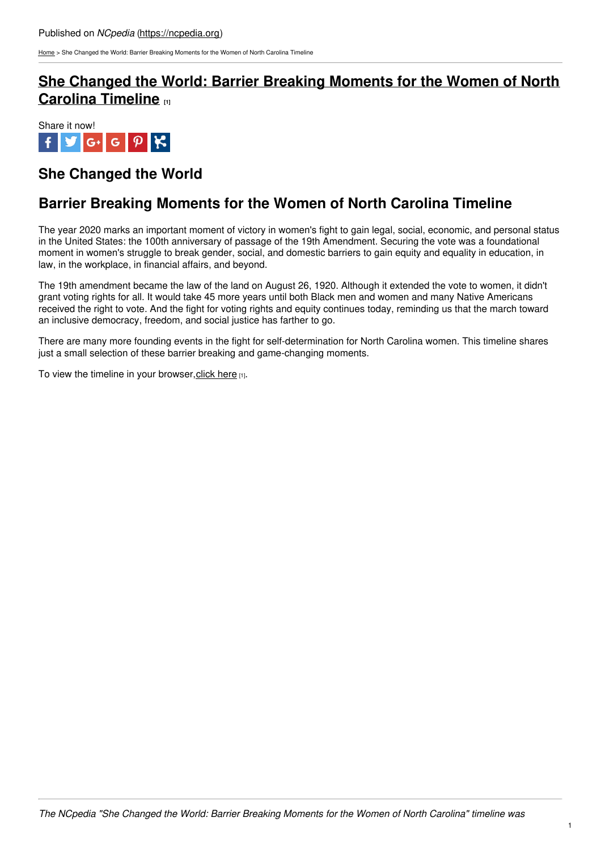[Home](https://ncpedia.org/) > She Changed the World: Barrier Breaking Moments for the Women of North Carolina Timeline

## **She Changed the World: Barrier Breaking [Moments](https://ncpedia.org/timeline/nc-women-barrier-breaking-moments) for the Women of North Carolina Timeline [1]**



## **She Changed the World**

## **Barrier Breaking Moments for the Women of North Carolina Timeline**

The year 2020 marks an important moment of victory in women's fight to gain legal, social, economic, and personal status in the United States: the 100th anniversary of passage of the 19th Amendment. Securing the vote was a foundational moment in women's struggle to break gender, social, and domestic barriers to gain equity and equality in education, in law, in the workplace, in financial affairs, and beyond.

The 19th amendment became the law of the [land](http://www.social9.com) on August 26, 1920. Although it extended the vote to women, it didn't grant voting rights for all. It would take 45 more years until both Black men and women and many Native Americans received the right to vote. And the fight for voting rights and equity continues today, reminding us that the march toward an inclusive democracy, freedom, and social justice has farther to go.

There are many more founding events in the fight for self-determination for North Carolina women. This timeline shares just a small selection of these barrier breaking and game-changing moments.

To view the timeline in your browser, click here  $[1]$ .